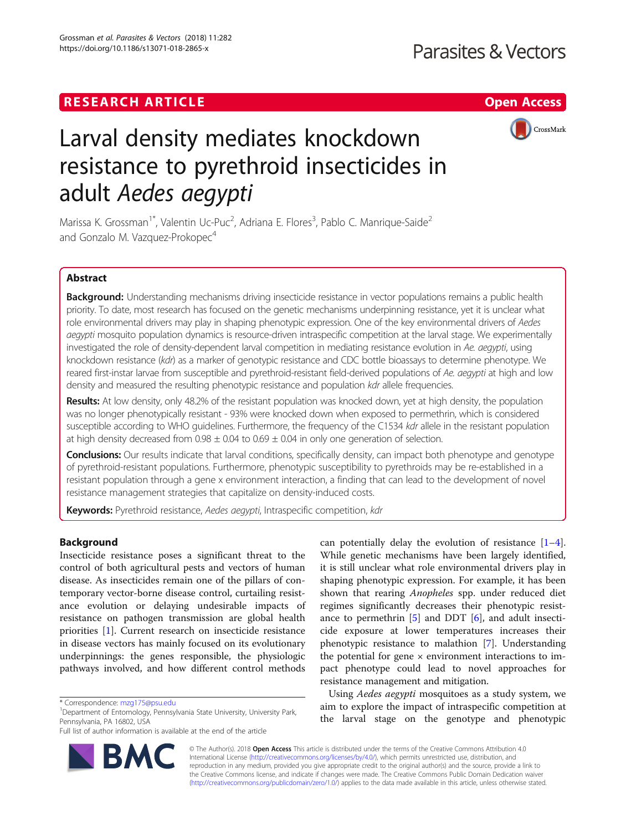## **RESEARCH ARTICLE Example 2018 12:30 The Contract of Contract ACCESS**



# Larval density mediates knockdown resistance to pyrethroid insecticides in adult Aedes aegypti

Marissa K. Grossman<sup>1\*</sup>, Valentin Uc-Puc<sup>2</sup>, Adriana E. Flores<sup>3</sup>, Pablo C. Manrique-Saide<sup>2</sup> and Gonzalo M. Vazquez-Prokopec<sup>4</sup>

## Abstract

Background: Understanding mechanisms driving insecticide resistance in vector populations remains a public health priority. To date, most research has focused on the genetic mechanisms underpinning resistance, yet it is unclear what role environmental drivers may play in shaping phenotypic expression. One of the key environmental drivers of Aedes aegypti mosquito population dynamics is resource-driven intraspecific competition at the larval stage. We experimentally investigated the role of density-dependent larval competition in mediating resistance evolution in Ae. aegypti, using knockdown resistance (kdr) as a marker of genotypic resistance and CDC bottle bioassays to determine phenotype. We reared first-instar larvae from susceptible and pyrethroid-resistant field-derived populations of Ae. aegypti at high and low density and measured the resulting phenotypic resistance and population kdr allele frequencies.

Results: At low density, only 48.2% of the resistant population was knocked down, yet at high density, the population was no longer phenotypically resistant - 93% were knocked down when exposed to permethrin, which is considered susceptible according to WHO guidelines. Furthermore, the frequency of the C1534 kdr allele in the resistant population at high density decreased from  $0.98 \pm 0.04$  to  $0.69 \pm 0.04$  in only one generation of selection.

Conclusions: Our results indicate that larval conditions, specifically density, can impact both phenotype and genotype of pyrethroid-resistant populations. Furthermore, phenotypic susceptibility to pyrethroids may be re-established in a resistant population through a gene x environment interaction, a finding that can lead to the development of novel resistance management strategies that capitalize on density-induced costs.

Keywords: Pyrethroid resistance, Aedes aegypti, Intraspecific competition, kdr

## Background

Insecticide resistance poses a significant threat to the control of both agricultural pests and vectors of human disease. As insecticides remain one of the pillars of contemporary vector-borne disease control, curtailing resistance evolution or delaying undesirable impacts of resistance on pathogen transmission are global health priorities [[1](#page-5-0)]. Current research on insecticide resistance in disease vectors has mainly focused on its evolutionary underpinnings: the genes responsible, the physiologic pathways involved, and how different control methods

Full list of author information is available at the end of the article



can potentially delay the evolution of resistance [\[1](#page-5-0)–[4](#page-5-0)]. While genetic mechanisms have been largely identified, it is still unclear what role environmental drivers play in shaping phenotypic expression. For example, it has been shown that rearing *Anopheles* spp. under reduced diet regimes significantly decreases their phenotypic resistance to permethrin [\[5](#page-5-0)] and DDT [\[6](#page-5-0)], and adult insecticide exposure at lower temperatures increases their phenotypic resistance to malathion [[7\]](#page-5-0). Understanding the potential for gene  $\times$  environment interactions to impact phenotype could lead to novel approaches for resistance management and mitigation.

Using Aedes aegypti mosquitoes as a study system, we aim to explore the impact of intraspecific competition at the larval stage on the genotype and phenotypic

© The Author(s). 2018 Open Access This article is distributed under the terms of the Creative Commons Attribution 4.0 International License [\(http://creativecommons.org/licenses/by/4.0/](http://creativecommons.org/licenses/by/4.0/)), which permits unrestricted use, distribution, and reproduction in any medium, provided you give appropriate credit to the original author(s) and the source, provide a link to the Creative Commons license, and indicate if changes were made. The Creative Commons Public Domain Dedication waiver [\(http://creativecommons.org/publicdomain/zero/1.0/](http://creativecommons.org/publicdomain/zero/1.0/)) applies to the data made available in this article, unless otherwise stated.

<sup>\*</sup> Correspondence: [mzg175@psu.edu](mailto:mzg175@psu.edu) <sup>1</sup>

<sup>&</sup>lt;sup>1</sup>Department of Entomology, Pennsylvania State University, University Park, Pennsylvania, PA 16802, USA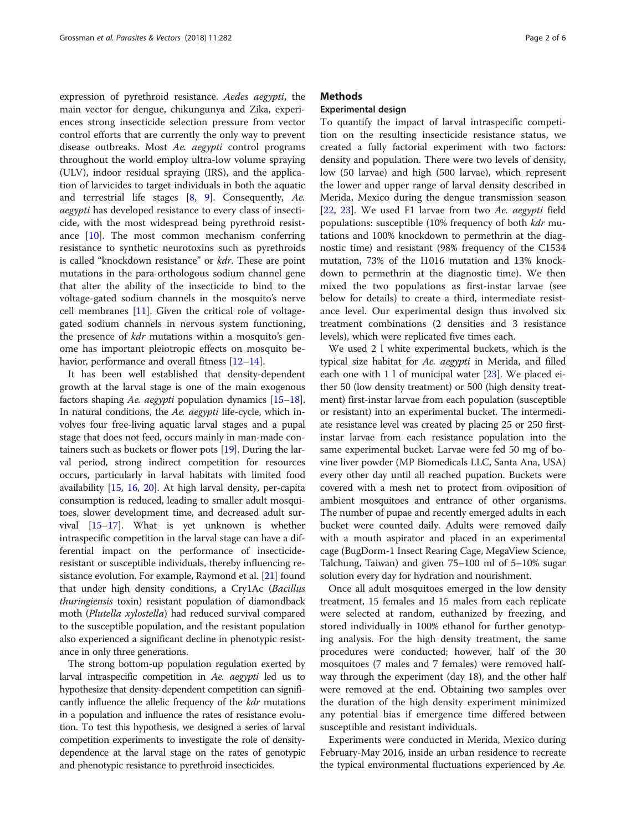expression of pyrethroid resistance. Aedes aegypti, the main vector for dengue, chikungunya and Zika, experiences strong insecticide selection pressure from vector control efforts that are currently the only way to prevent disease outbreaks. Most Ae. aegypti control programs throughout the world employ ultra-low volume spraying (ULV), indoor residual spraying (IRS), and the application of larvicides to target individuals in both the aquatic and terrestrial life stages [\[8](#page-5-0), [9\]](#page-5-0). Consequently, Ae. aegypti has developed resistance to every class of insecticide, with the most widespread being pyrethroid resistance [\[10](#page-5-0)]. The most common mechanism conferring resistance to synthetic neurotoxins such as pyrethroids is called "knockdown resistance" or kdr. These are point mutations in the para-orthologous sodium channel gene that alter the ability of the insecticide to bind to the voltage-gated sodium channels in the mosquito's nerve cell membranes [[11](#page-5-0)]. Given the critical role of voltagegated sodium channels in nervous system functioning, the presence of kdr mutations within a mosquito's genome has important pleiotropic effects on mosquito be-havior, performance and overall fitness [\[12](#page-5-0)–[14\]](#page-5-0).

It has been well established that density-dependent growth at the larval stage is one of the main exogenous factors shaping Ae. aegypti population dynamics [\[15](#page-5-0)–[18](#page-5-0)]. In natural conditions, the Ae. aegypti life-cycle, which involves four free-living aquatic larval stages and a pupal stage that does not feed, occurs mainly in man-made containers such as buckets or flower pots [\[19\]](#page-5-0). During the larval period, strong indirect competition for resources occurs, particularly in larval habitats with limited food availability [[15](#page-5-0), [16,](#page-5-0) [20](#page-5-0)]. At high larval density, per-capita consumption is reduced, leading to smaller adult mosquitoes, slower development time, and decreased adult survival [\[15](#page-5-0)–[17](#page-5-0)]. What is yet unknown is whether intraspecific competition in the larval stage can have a differential impact on the performance of insecticideresistant or susceptible individuals, thereby influencing resistance evolution. For example, Raymond et al. [[21](#page-5-0)] found that under high density conditions, a Cry1Ac (Bacillus thuringiensis toxin) resistant population of diamondback moth (Plutella xylostella) had reduced survival compared to the susceptible population, and the resistant population also experienced a significant decline in phenotypic resistance in only three generations.

The strong bottom-up population regulation exerted by larval intraspecific competition in Ae. aegypti led us to hypothesize that density-dependent competition can significantly influence the allelic frequency of the kdr mutations in a population and influence the rates of resistance evolution. To test this hypothesis, we designed a series of larval competition experiments to investigate the role of densitydependence at the larval stage on the rates of genotypic and phenotypic resistance to pyrethroid insecticides.

## **Methods**

## Experimental design

To quantify the impact of larval intraspecific competition on the resulting insecticide resistance status, we created a fully factorial experiment with two factors: density and population. There were two levels of density, low (50 larvae) and high (500 larvae), which represent the lower and upper range of larval density described in Merida, Mexico during the dengue transmission season [[22,](#page-5-0) [23\]](#page-5-0). We used F1 larvae from two Ae. aegypti field populations: susceptible (10% frequency of both kdr mutations and 100% knockdown to permethrin at the diagnostic time) and resistant (98% frequency of the C1534 mutation, 73% of the I1016 mutation and 13% knockdown to permethrin at the diagnostic time). We then mixed the two populations as first-instar larvae (see below for details) to create a third, intermediate resistance level. Our experimental design thus involved six treatment combinations (2 densities and 3 resistance levels), which were replicated five times each.

We used 2 l white experimental buckets, which is the typical size habitat for Ae. aegypti in Merida, and filled each one with 1 l of municipal water [\[23\]](#page-5-0). We placed either 50 (low density treatment) or 500 (high density treatment) first-instar larvae from each population (susceptible or resistant) into an experimental bucket. The intermediate resistance level was created by placing 25 or 250 firstinstar larvae from each resistance population into the same experimental bucket. Larvae were fed 50 mg of bovine liver powder (MP Biomedicals LLC, Santa Ana, USA) every other day until all reached pupation. Buckets were covered with a mesh net to protect from oviposition of ambient mosquitoes and entrance of other organisms. The number of pupae and recently emerged adults in each bucket were counted daily. Adults were removed daily with a mouth aspirator and placed in an experimental cage (BugDorm-1 Insect Rearing Cage, MegaView Science, Talchung, Taiwan) and given 75–100 ml of 5–10% sugar solution every day for hydration and nourishment.

Once all adult mosquitoes emerged in the low density treatment, 15 females and 15 males from each replicate were selected at random, euthanized by freezing, and stored individually in 100% ethanol for further genotyping analysis. For the high density treatment, the same procedures were conducted; however, half of the 30 mosquitoes (7 males and 7 females) were removed halfway through the experiment (day 18), and the other half were removed at the end. Obtaining two samples over the duration of the high density experiment minimized any potential bias if emergence time differed between susceptible and resistant individuals.

Experiments were conducted in Merida, Mexico during February-May 2016, inside an urban residence to recreate the typical environmental fluctuations experienced by Ae.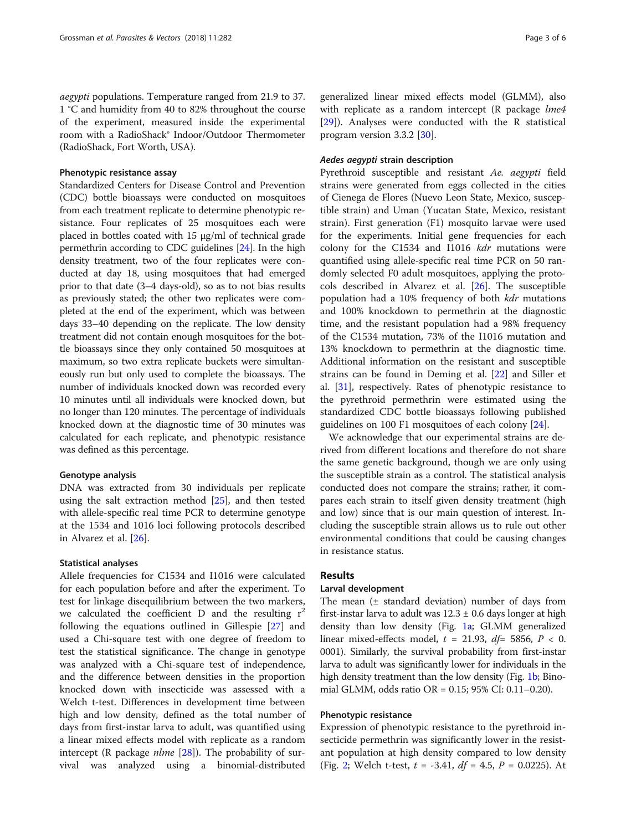aegypti populations. Temperature ranged from 21.9 to 37. 1 °C and humidity from 40 to 82% throughout the course of the experiment, measured inside the experimental room with a RadioShack® Indoor/Outdoor Thermometer (RadioShack, Fort Worth, USA).

## Phenotypic resistance assay

Standardized Centers for Disease Control and Prevention (CDC) bottle bioassays were conducted on mosquitoes from each treatment replicate to determine phenotypic resistance. Four replicates of 25 mosquitoes each were placed in bottles coated with 15 μg/ml of technical grade permethrin according to CDC guidelines [[24](#page-5-0)]. In the high density treatment, two of the four replicates were conducted at day 18, using mosquitoes that had emerged prior to that date (3–4 days-old), so as to not bias results as previously stated; the other two replicates were completed at the end of the experiment, which was between days 33–40 depending on the replicate. The low density treatment did not contain enough mosquitoes for the bottle bioassays since they only contained 50 mosquitoes at maximum, so two extra replicate buckets were simultaneously run but only used to complete the bioassays. The number of individuals knocked down was recorded every 10 minutes until all individuals were knocked down, but no longer than 120 minutes. The percentage of individuals knocked down at the diagnostic time of 30 minutes was calculated for each replicate, and phenotypic resistance was defined as this percentage.

## Genotype analysis

DNA was extracted from 30 individuals per replicate using the salt extraction method [\[25\]](#page-5-0), and then tested with allele-specific real time PCR to determine genotype at the 1534 and 1016 loci following protocols described in Alvarez et al. [\[26\]](#page-5-0).

#### Statistical analyses

Allele frequencies for C1534 and I1016 were calculated for each population before and after the experiment. To test for linkage disequilibrium between the two markers, we calculated the coefficient D and the resulting  $r^2$ following the equations outlined in Gillespie [\[27](#page-5-0)] and used a Chi-square test with one degree of freedom to test the statistical significance. The change in genotype was analyzed with a Chi-square test of independence, and the difference between densities in the proportion knocked down with insecticide was assessed with a Welch t-test. Differences in development time between high and low density, defined as the total number of days from first-instar larva to adult, was quantified using a linear mixed effects model with replicate as a random intercept (R package *nlme* [\[28\]](#page-5-0)). The probability of survival was analyzed using a binomial-distributed

generalized linear mixed effects model (GLMM), also with replicate as a random intercept (R package *lme4* [[29\]](#page-5-0)). Analyses were conducted with the R statistical program version 3.3.2 [\[30\]](#page-5-0).

## Aedes aegypti strain description

Pyrethroid susceptible and resistant Ae. aegypti field strains were generated from eggs collected in the cities of Cienega de Flores (Nuevo Leon State, Mexico, susceptible strain) and Uman (Yucatan State, Mexico, resistant strain). First generation (F1) mosquito larvae were used for the experiments. Initial gene frequencies for each colony for the C1534 and I1016 kdr mutations were quantified using allele-specific real time PCR on 50 randomly selected F0 adult mosquitoes, applying the protocols described in Alvarez et al. [\[26](#page-5-0)]. The susceptible population had a 10% frequency of both *kdr* mutations and 100% knockdown to permethrin at the diagnostic time, and the resistant population had a 98% frequency of the C1534 mutation, 73% of the I1016 mutation and 13% knockdown to permethrin at the diagnostic time. Additional information on the resistant and susceptible strains can be found in Deming et al. [[22](#page-5-0)] and Siller et al. [[31\]](#page-5-0), respectively. Rates of phenotypic resistance to the pyrethroid permethrin were estimated using the standardized CDC bottle bioassays following published guidelines on 100 F1 mosquitoes of each colony [[24\]](#page-5-0).

We acknowledge that our experimental strains are derived from different locations and therefore do not share the same genetic background, though we are only using the susceptible strain as a control. The statistical analysis conducted does not compare the strains; rather, it compares each strain to itself given density treatment (high and low) since that is our main question of interest. Including the susceptible strain allows us to rule out other environmental conditions that could be causing changes in resistance status.

## Results

#### Larval development

The mean (± standard deviation) number of days from first-instar larva to adult was  $12.3 \pm 0.6$  days longer at high density than low density (Fig. [1a](#page-3-0); GLMM generalized linear mixed-effects model,  $t = 21.93$ ,  $df = 5856$ ,  $P < 0$ . 0001). Similarly, the survival probability from first-instar larva to adult was significantly lower for individuals in the high density treatment than the low density (Fig. [1b;](#page-3-0) Binomial GLMM, odds ratio OR = 0.15; 95% CI: 0.11–0.20).

## Phenotypic resistance

Expression of phenotypic resistance to the pyrethroid insecticide permethrin was significantly lower in the resistant population at high density compared to low density (Fig. [2;](#page-3-0) Welch t-test,  $t = -3.41$ ,  $df = 4.5$ ,  $P = 0.0225$ ). At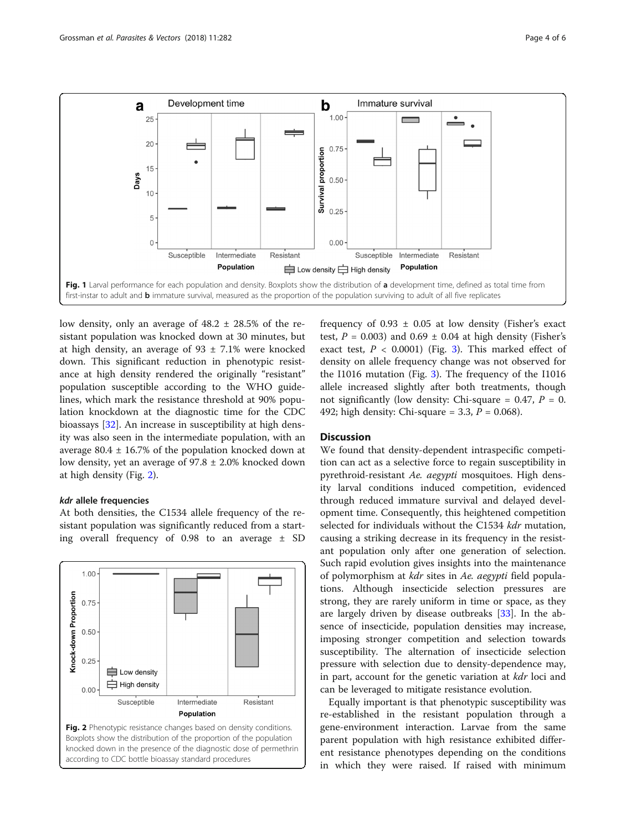<span id="page-3-0"></span>

low density, only an average of  $48.2 \pm 28.5\%$  of the resistant population was knocked down at 30 minutes, but at high density, an average of 93  $\pm$  7.1% were knocked down. This significant reduction in phenotypic resistance at high density rendered the originally "resistant" population susceptible according to the WHO guidelines, which mark the resistance threshold at 90% population knockdown at the diagnostic time for the CDC bioassays [\[32](#page-5-0)]. An increase in susceptibility at high density was also seen in the intermediate population, with an average  $80.4 \pm 16.7\%$  of the population knocked down at low density, yet an average of  $97.8 \pm 2.0\%$  knocked down at high density (Fig. 2).

## kdr allele frequencies

At both densities, the C1534 allele frequency of the resistant population was significantly reduced from a starting overall frequency of 0.98 to an average ± SD



frequency of  $0.93 \pm 0.05$  at low density (Fisher's exact test,  $P = 0.003$ ) and  $0.69 \pm 0.04$  at high density (Fisher's exact test,  $P < 0.0001$ ) (Fig. [3\)](#page-4-0). This marked effect of density on allele frequency change was not observed for the I1016 mutation (Fig. [3](#page-4-0)). The frequency of the I1016 allele increased slightly after both treatments, though not significantly (low density: Chi-square =  $0.47$ ,  $P = 0$ . 492; high density: Chi-square = 3.3,  $P = 0.068$ ).

## **Discussion**

We found that density-dependent intraspecific competition can act as a selective force to regain susceptibility in pyrethroid-resistant Ae. aegypti mosquitoes. High density larval conditions induced competition, evidenced through reduced immature survival and delayed development time. Consequently, this heightened competition selected for individuals without the C1534 kdr mutation, causing a striking decrease in its frequency in the resistant population only after one generation of selection. Such rapid evolution gives insights into the maintenance of polymorphism at kdr sites in Ae. aegypti field populations. Although insecticide selection pressures are strong, they are rarely uniform in time or space, as they are largely driven by disease outbreaks [\[33\]](#page-5-0). In the absence of insecticide, population densities may increase, imposing stronger competition and selection towards susceptibility. The alternation of insecticide selection pressure with selection due to density-dependence may, in part, account for the genetic variation at *kdr* loci and can be leveraged to mitigate resistance evolution.

Equally important is that phenotypic susceptibility was re-established in the resistant population through a gene-environment interaction. Larvae from the same parent population with high resistance exhibited different resistance phenotypes depending on the conditions in which they were raised. If raised with minimum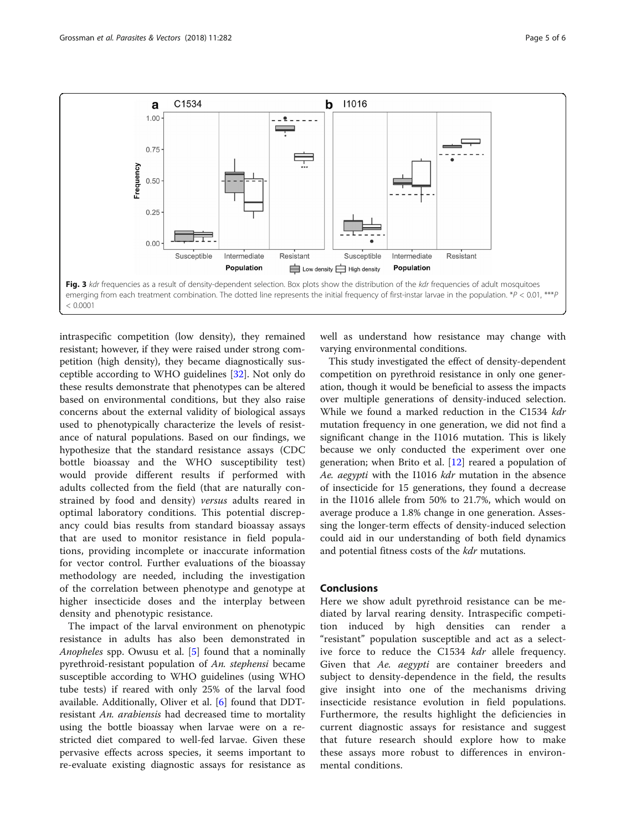<span id="page-4-0"></span>

intraspecific competition (low density), they remained resistant; however, if they were raised under strong competition (high density), they became diagnostically susceptible according to WHO guidelines [\[32\]](#page-5-0). Not only do these results demonstrate that phenotypes can be altered based on environmental conditions, but they also raise concerns about the external validity of biological assays used to phenotypically characterize the levels of resistance of natural populations. Based on our findings, we hypothesize that the standard resistance assays (CDC bottle bioassay and the WHO susceptibility test) would provide different results if performed with adults collected from the field (that are naturally constrained by food and density) versus adults reared in optimal laboratory conditions. This potential discrepancy could bias results from standard bioassay assays that are used to monitor resistance in field populations, providing incomplete or inaccurate information for vector control. Further evaluations of the bioassay methodology are needed, including the investigation of the correlation between phenotype and genotype at higher insecticide doses and the interplay between density and phenotypic resistance.

The impact of the larval environment on phenotypic resistance in adults has also been demonstrated in Anopheles spp. Owusu et al. [\[5](#page-5-0)] found that a nominally pyrethroid-resistant population of An. stephensi became susceptible according to WHO guidelines (using WHO tube tests) if reared with only 25% of the larval food available. Additionally, Oliver et al. [\[6](#page-5-0)] found that DDTresistant An. arabiensis had decreased time to mortality using the bottle bioassay when larvae were on a restricted diet compared to well-fed larvae. Given these pervasive effects across species, it seems important to re-evaluate existing diagnostic assays for resistance as

well as understand how resistance may change with varying environmental conditions.

This study investigated the effect of density-dependent competition on pyrethroid resistance in only one generation, though it would be beneficial to assess the impacts over multiple generations of density-induced selection. While we found a marked reduction in the C1534 kdr mutation frequency in one generation, we did not find a significant change in the I1016 mutation. This is likely because we only conducted the experiment over one generation; when Brito et al. [[12](#page-5-0)] reared a population of Ae. aegypti with the I1016 kdr mutation in the absence of insecticide for 15 generations, they found a decrease in the I1016 allele from 50% to 21.7%, which would on average produce a 1.8% change in one generation. Assessing the longer-term effects of density-induced selection could aid in our understanding of both field dynamics and potential fitness costs of the kdr mutations.

## Conclusions

Here we show adult pyrethroid resistance can be mediated by larval rearing density. Intraspecific competition induced by high densities can render a "resistant" population susceptible and act as a selective force to reduce the C1534 kdr allele frequency. Given that Ae. aegypti are container breeders and subject to density-dependence in the field, the results give insight into one of the mechanisms driving insecticide resistance evolution in field populations. Furthermore, the results highlight the deficiencies in current diagnostic assays for resistance and suggest that future research should explore how to make these assays more robust to differences in environmental conditions.